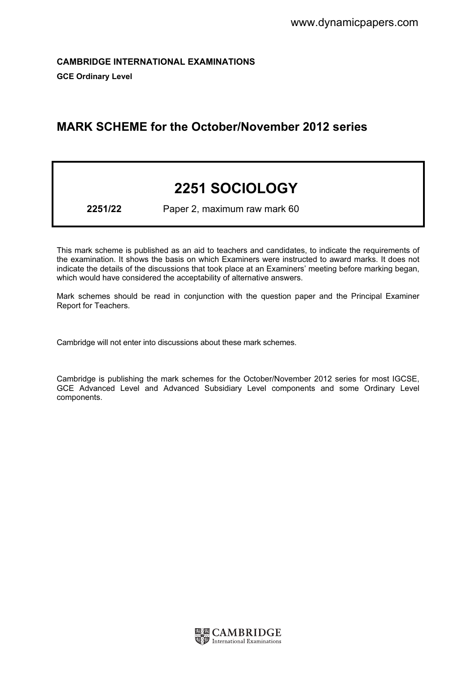CAMBRIDGE INTERNATIONAL EXAMINATIONS GCE Ordinary Level

# MARK SCHEME for the October/November 2012 series

# 2251 SOCIOLOGY

2251/22 Paper 2, maximum raw mark 60

This mark scheme is published as an aid to teachers and candidates, to indicate the requirements of the examination. It shows the basis on which Examiners were instructed to award marks. It does not indicate the details of the discussions that took place at an Examiners' meeting before marking began, which would have considered the acceptability of alternative answers.

Mark schemes should be read in conjunction with the question paper and the Principal Examiner Report for Teachers.

Cambridge will not enter into discussions about these mark schemes.

Cambridge is publishing the mark schemes for the October/November 2012 series for most IGCSE, GCE Advanced Level and Advanced Subsidiary Level components and some Ordinary Level components.

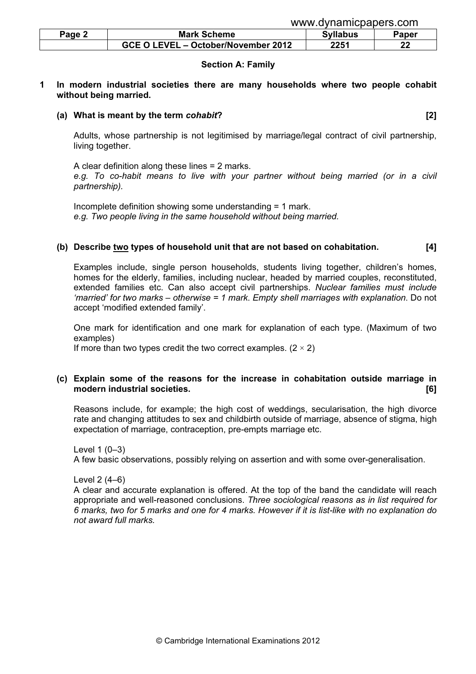| www.dynamicpapers.com |
|-----------------------|
|                       |
|                       |

| Page 2 | <b>Mark Scheme</b>                  | Syllabus | Paper |
|--------|-------------------------------------|----------|-------|
|        | GCE O LEVEL - October/November 2012 | 2251     | ົ     |

#### Section A: Family

#### 1 In modern industrial societies there are many households where two people cohabit without being married.

#### (a) What is meant by the term cohabit? (a) what is meant by the term cohabit?

 Adults, whose partnership is not legitimised by marriage/legal contract of civil partnership, living together.

 A clear definition along these lines = 2 marks. e.g. To co-habit means to live with your partner without being married (or in a civil partnership).

 Incomplete definition showing some understanding = 1 mark. e.g. Two people living in the same household without being married.

#### (b) Describe two types of household unit that are not based on cohabitation.  $[4]$

 Examples include, single person households, students living together, children's homes, homes for the elderly, families, including nuclear, headed by married couples, reconstituted, extended families etc. Can also accept civil partnerships. Nuclear families must include 'married' for two marks – otherwise = 1 mark. Empty shell marriages with explanation. Do not accept 'modified extended family'.

 One mark for identification and one mark for explanation of each type. (Maximum of two examples)

If more than two types credit the two correct examples.  $(2 \times 2)$ 

### (c) Explain some of the reasons for the increase in cohabitation outside marriage in modern industrial societies. [6]

 Reasons include, for example; the high cost of weddings, secularisation, the high divorce rate and changing attitudes to sex and childbirth outside of marriage, absence of stigma, high expectation of marriage, contraception, pre-empts marriage etc.

 Level 1 (0–3) A few basic observations, possibly relying on assertion and with some over-generalisation.

Level 2 (4–6)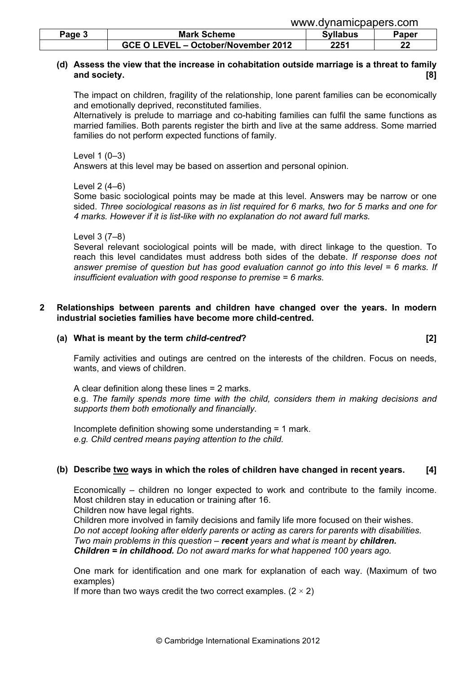|        |                                     | www.uvilalilluuduutis.uulil |       |
|--------|-------------------------------------|-----------------------------|-------|
| Page 3 | <b>Mark Scheme</b>                  | <b>Syllabus</b>             | Paper |
|        | GCE O LEVEL - October/November 2012 | 2251                        | ົ     |

# (d) Assess the view that the increase in cohabitation outside marriage is a threat to family and society. [8]

 The impact on children, fragility of the relationship, lone parent families can be economically and emotionally deprived, reconstituted families.

www.dynamicpapers.com

 Alternatively is prelude to marriage and co-habiting families can fulfil the same functions as married families. Both parents register the birth and live at the same address. Some married families do not perform expected functions of family.

Level 1 (0–3)

Answers at this level may be based on assertion and personal opinion.

Level 2 (4–6)

 Some basic sociological points may be made at this level. Answers may be narrow or one sided. Three sociological reasons as in list required for 6 marks, two for 5 marks and one for 4 marks. However if it is list-like with no explanation do not award full marks.

Level 3 (7–8)

 Several relevant sociological points will be made, with direct linkage to the question. To reach this level candidates must address both sides of the debate. If response does not answer premise of question but has good evaluation cannot go into this level = 6 marks. If insufficient evaluation with good response to premise = 6 marks.

### 2 Relationships between parents and children have changed over the years. In modern industrial societies families have become more child-centred.

#### (a) What is meant by the term *child-centred*? [2] [2]

 Family activities and outings are centred on the interests of the children. Focus on needs, wants, and views of children.

 A clear definition along these lines = 2 marks. e.g. The family spends more time with the child, considers them in making decisions and supports them both emotionally and financially.

 Incomplete definition showing some understanding = 1 mark. e.g. Child centred means paying attention to the child.

# (b) Describe two ways in which the roles of children have changed in recent years. [4]

 Economically – children no longer expected to work and contribute to the family income. Most children stay in education or training after 16.

Children now have legal rights.

 Children more involved in family decisions and family life more focused on their wishes. Do not accept looking after elderly parents or acting as carers for parents with disabilities. Two main problems in this question  $-$  recent years and what is meant by children. **Children = in childhood.** Do not award marks for what happened 100 years ago.

 One mark for identification and one mark for explanation of each way. (Maximum of two examples)

If more than two ways credit the two correct examples.  $(2 \times 2)$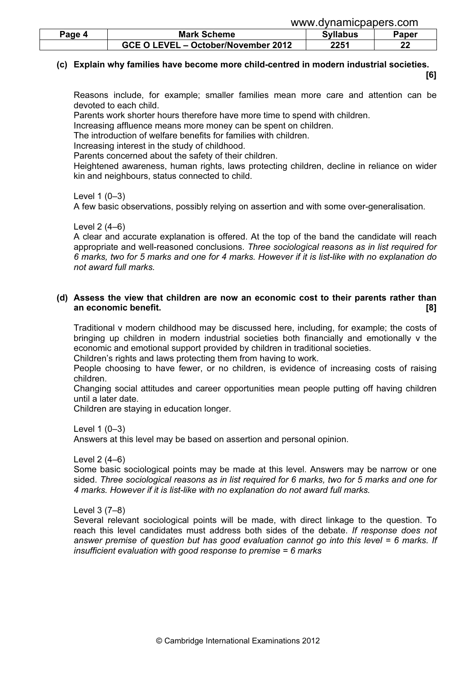www.dynamicpapers.com

| Page 4 | <b>Mark Scheme</b>                  | <b>Syllabus</b> | Paper    |
|--------|-------------------------------------|-----------------|----------|
|        | GCE O LEVEL - October/November 2012 | 2251            | nn.<br>" |

# (c) Explain why families have become more child-centred in modern industrial societies.

[6]

 Reasons include, for example; smaller families mean more care and attention can be devoted to each child.

Parents work shorter hours therefore have more time to spend with children.

Increasing affluence means more money can be spent on children.

The introduction of welfare benefits for families with children.

Increasing interest in the study of childhood.

Parents concerned about the safety of their children.

 Heightened awareness, human rights, laws protecting children, decline in reliance on wider kin and neighbours, status connected to child.

#### Level 1 (0–3)

A few basic observations, possibly relying on assertion and with some over-generalisation.

Level 2 (4–6)

 A clear and accurate explanation is offered. At the top of the band the candidate will reach appropriate and well-reasoned conclusions. Three sociological reasons as in list required for 6 marks, two for 5 marks and one for 4 marks. However if it is list-like with no explanation do not award full marks.

### (d) Assess the view that children are now an economic cost to their parents rather than an economic benefit. **[8] and the set of the set of the set of the set of the set of the set of the set of the set of the set of the set of the set of the set of the set of the set of the set of the set of the set of the**

 Traditional v modern childhood may be discussed here, including, for example; the costs of bringing up children in modern industrial societies both financially and emotionally v the economic and emotional support provided by children in traditional societies.

Children's rights and laws protecting them from having to work.

 People choosing to have fewer, or no children, is evidence of increasing costs of raising children.

 Changing social attitudes and career opportunities mean people putting off having children until a later date.

Children are staying in education longer.

Level 1 (0–3)

Answers at this level may be based on assertion and personal opinion.

Level 2 (4–6)

 Some basic sociological points may be made at this level. Answers may be narrow or one sided. Three sociological reasons as in list required for 6 marks, two for 5 marks and one for 4 marks. However if it is list-like with no explanation do not award full marks.

Level 3 (7–8)

 Several relevant sociological points will be made, with direct linkage to the question. To reach this level candidates must address both sides of the debate. If response does not answer premise of question but has good evaluation cannot go into this level = 6 marks. If insufficient evaluation with good response to premise = 6 marks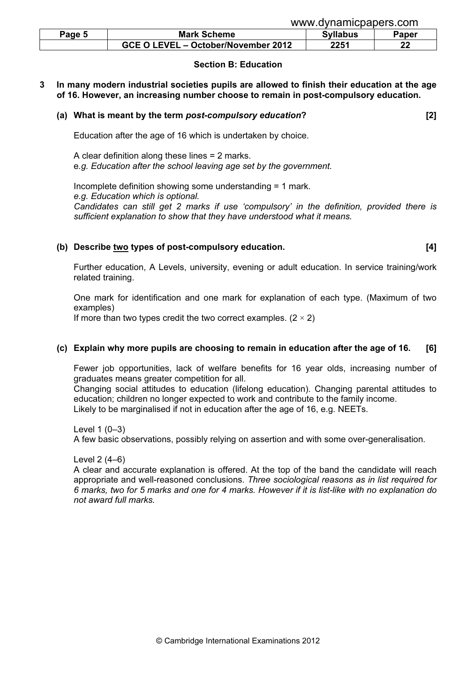| Page 5 | <b>Mark Scheme</b>                  |      | Paper |
|--------|-------------------------------------|------|-------|
|        | GCE O LEVEL - October/November 2012 | 2251 | ົ     |

#### Section B: Education

3 In many modern industrial societies pupils are allowed to finish their education at the age of 16. However, an increasing number choose to remain in post-compulsory education.

#### (a) What is meant by the term post-compulsory education? [2]

Education after the age of 16 which is undertaken by choice.

 A clear definition along these lines = 2 marks. e.g. Education after the school leaving age set by the government.

 Incomplete definition showing some understanding = 1 mark. e.g. Education which is optional. Candidates can still get 2 marks if use 'compulsory' in the definition, provided there is sufficient explanation to show that they have understood what it means.

### (b) Describe two types of post-compulsory education. [4] (14]

Further education, A Levels, university, evening or adult education. In service training/work

related training.

 One mark for identification and one mark for explanation of each type. (Maximum of two examples)

If more than two types credit the two correct examples.  $(2 \times 2)$ 

# (c) Explain why more pupils are choosing to remain in education after the age of 16.  $\,$  [6]

 Fewer job opportunities, lack of welfare benefits for 16 year olds, increasing number of graduates means greater competition for all.

 Changing social attitudes to education (lifelong education). Changing parental attitudes to education; children no longer expected to work and contribute to the family income. Likely to be marginalised if not in education after the age of 16, e.g. NEETs.

Level 1 (0–3)

A few basic observations, possibly relying on assertion and with some over-generalisation.

Level 2 (4–6)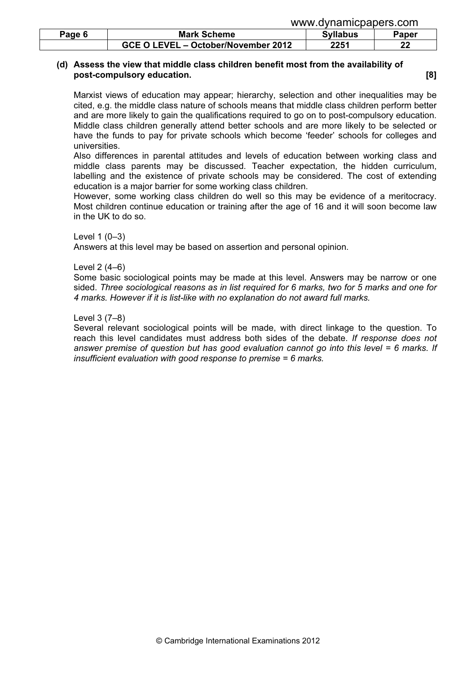|        |                                     | www.dynamicpapers.com |         |
|--------|-------------------------------------|-----------------------|---------|
| Page 6 | <b>Mark Scheme</b>                  | <b>Syllabus</b>       | Paper   |
|        | GCE O LEVEL – October/November 2012 | 2251                  | ົ<br>LL |

# (d) Assess the view that middle class children benefit most from the availability of post-compulsory education. **Example 18** and 20 and 20 and 20 and 20 and 20 and 20 and 20 and 20 and 20 and 20 and 20 and 20 and 20 and 20 and 20 and 20 and 20 and 20 and 20 and 20 and 20 and 20 and 20 and 20 and 20 and 20

 Marxist views of education may appear; hierarchy, selection and other inequalities may be cited, e.g. the middle class nature of schools means that middle class children perform better and are more likely to gain the qualifications required to go on to post-compulsory education. Middle class children generally attend better schools and are more likely to be selected or have the funds to pay for private schools which become 'feeder' schools for colleges and universities.

 Also differences in parental attitudes and levels of education between working class and middle class parents may be discussed. Teacher expectation, the hidden curriculum, labelling and the existence of private schools may be considered. The cost of extending education is a major barrier for some working class children.

 However, some working class children do well so this may be evidence of a meritocracy. Most children continue education or training after the age of 16 and it will soon become law in the UK to do so.

### Level 1 (0–3)

Answers at this level may be based on assertion and personal opinion.

# Level 2 (4–6)

 Some basic sociological points may be made at this level. Answers may be narrow or one sided. Three sociological reasons as in list required for 6 marks, two for 5 marks and one for 4 marks. However if it is list-like with no explanation do not award full marks.

### Level 3 (7–8)

 Several relevant sociological points will be made, with direct linkage to the question. To reach this level candidates must address both sides of the debate. If response does not answer premise of question but has good evaluation cannot go into this level = 6 marks. If insufficient evaluation with good response to premise = 6 marks.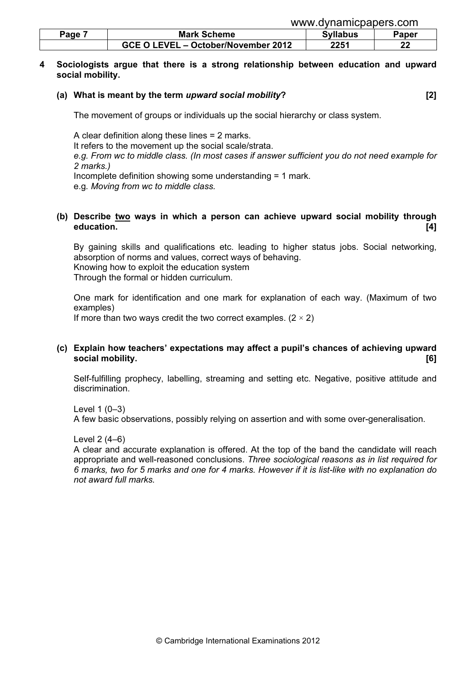|      |                                     | www.gynamopapers.com |       |
|------|-------------------------------------|----------------------|-------|
| Page | <b>Mark Scheme</b>                  | <b>Syllabus</b>      | Paper |
|      | GCE O LEVEL - October/November 2012 | 2251                 | ົາາ   |

#### 4 Sociologists argue that there is a strong relationship between education and upward social mobility.

#### (a) What is meant by the term upward social mobility? [2]

www.dynamicpapers.com

The movement of groups or individuals up the social hierarchy or class system.

 A clear definition along these lines = 2 marks. It refers to the movement up the social scale/strata. e.g. From wc to middle class. (In most cases if answer sufficient you do not need example for 2 marks.) Incomplete definition showing some understanding = 1 mark. e.g. Moving from wc to middle class.

#### (b) Describe two ways in which a person can achieve upward social mobility through education. [4]

 By gaining skills and qualifications etc. leading to higher status jobs. Social networking, absorption of norms and values, correct ways of behaving. Knowing how to exploit the education system Through the formal or hidden curriculum.

 One mark for identification and one mark for explanation of each way. (Maximum of two examples)

If more than two ways credit the two correct examples.  $(2 \times 2)$ 

# (c) Explain how teachers' expectations may affect a pupil's chances of achieving upward social mobility. [6]

 Self-fulfilling prophecy, labelling, streaming and setting etc. Negative, positive attitude and discrimination.

 Level 1 (0–3) A few basic observations, possibly relying on assertion and with some over-generalisation.

Level 2 (4–6)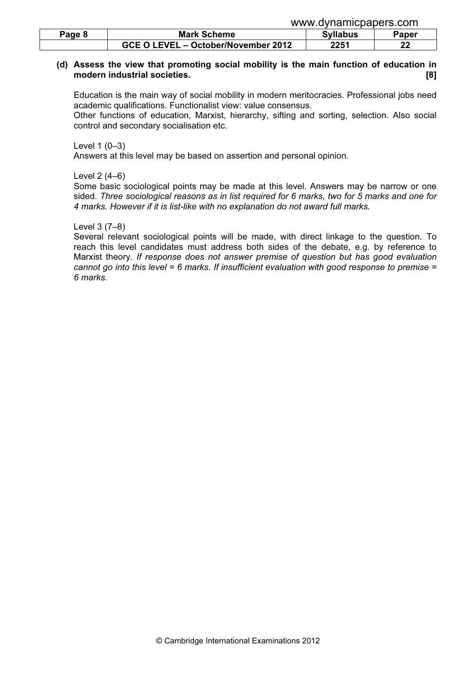|        |                                     | www.uyildililopapois.com |       |
|--------|-------------------------------------|--------------------------|-------|
| Page 8 | <b>Mark Scheme</b>                  | <b>Syllabus</b>          | Paper |
|        | GCE O LEVEL - October/November 2012 | 2251                     | ົ     |

# (d) Assess the view that promoting social mobility is the main function of education in modern industrial societies. **Example 2018** 181

 Education is the main way of social mobility in modern meritocracies. Professional jobs need academic qualifications. Functionalist view: value consensus.

www.dynamicpapers.com

 Other functions of education, Marxist, hierarchy, sifting and sorting, selection. Also social control and secondary socialisation etc.

Level 1 (0–3)

Answers at this level may be based on assertion and personal opinion.

Level 2 (4–6)

 Some basic sociological points may be made at this level. Answers may be narrow or one sided. Three sociological reasons as in list required for 6 marks, two for 5 marks and one for 4 marks. However if it is list-like with no explanation do not award full marks.

### Level 3 (7–8)

 Several relevant sociological points will be made, with direct linkage to the question. To reach this level candidates must address both sides of the debate, e.g. by reference to Marxist theory. If response does not answer premise of question but has good evaluation cannot go into this level = 6 marks. If insufficient evaluation with good response to premise = 6 marks.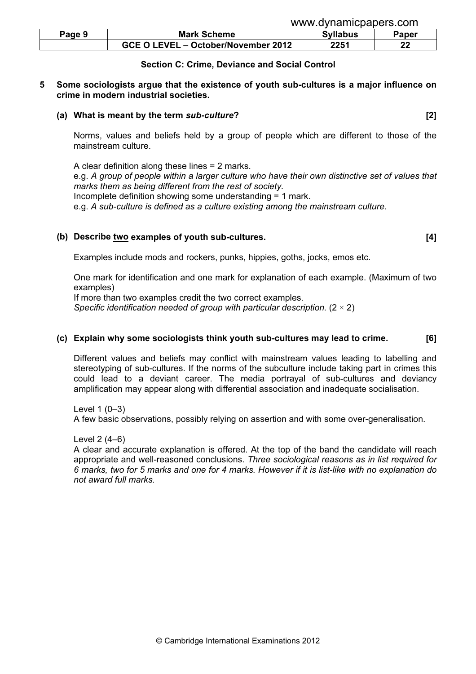| Page 9 | <b>Mark Scheme</b>                  | Svllabus | $\mathbf{a}$ per |
|--------|-------------------------------------|----------|------------------|
|        | GCE O LEVEL - October/November 2012 | 2251     | ົ                |

#### Section C: Crime, Deviance and Social Control

#### 5 Some sociologists argue that the existence of youth sub-cultures is a major influence on crime in modern industrial societies.

#### (a) What is meant by the term sub-culture? [2]

 Norms, values and beliefs held by a group of people which are different to those of the mainstream culture.

 A clear definition along these lines = 2 marks. e.g. A group of people within a larger culture who have their own distinctive set of values that marks them as being different from the rest of society. Incomplete definition showing some understanding = 1 mark. e.g. A sub-culture is defined as a culture existing among the mainstream culture.

# (b) Describe two examples of youth sub-cultures. [4]

Examples include mods and rockers, punks, hippies, goths, jocks, emos etc.

 One mark for identification and one mark for explanation of each example. (Maximum of two examples)

If more than two examples credit the two correct examples.

Specific identification needed of group with particular description.  $(2 \times 2)$ 

#### (c) Explain why some sociologists think youth sub-cultures may lead to crime. [6]

 Different values and beliefs may conflict with mainstream values leading to labelling and stereotyping of sub-cultures. If the norms of the subculture include taking part in crimes this could lead to a deviant career. The media portrayal of sub-cultures and deviancy amplification may appear along with differential association and inadequate socialisation.

Level 1 (0–3)

A few basic observations, possibly relying on assertion and with some over-generalisation.

Level 2 (4–6)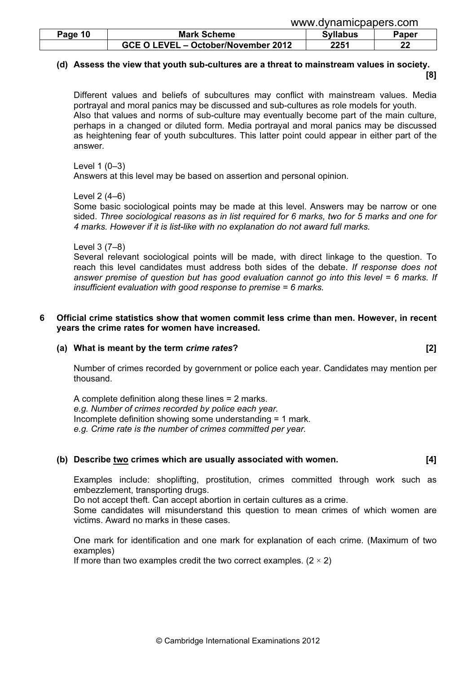|         |                                     | www.gynamopapers.com |       |
|---------|-------------------------------------|----------------------|-------|
| Page 10 | <b>Mark Scheme</b>                  | <b>Syllabus</b>      | Paper |
|         | GCE O LEVEL - October/November 2012 | 2251                 | ົ     |

www.dynamicpapers.com

# (d) Assess the view that youth sub-cultures are a threat to mainstream values in society. [8]

 Different values and beliefs of subcultures may conflict with mainstream values. Media portrayal and moral panics may be discussed and sub-cultures as role models for youth. Also that values and norms of sub-culture may eventually become part of the main culture, perhaps in a changed or diluted form. Media portrayal and moral panics may be discussed as heightening fear of youth subcultures. This latter point could appear in either part of the answer.

Level 1 (0–3)

Answers at this level may be based on assertion and personal opinion.

#### Level 2 (4–6)

 Some basic sociological points may be made at this level. Answers may be narrow or one sided. Three sociological reasons as in list required for 6 marks, two for 5 marks and one for 4 marks. However if it is list-like with no explanation do not award full marks.

### Level 3 (7–8)

 Several relevant sociological points will be made, with direct linkage to the question. To reach this level candidates must address both sides of the debate. If response does not answer premise of question but has good evaluation cannot go into this level  $= 6$  marks. If insufficient evaluation with good response to premise = 6 marks.

# 6 Official crime statistics show that women commit less crime than men. However, in recent years the crime rates for women have increased.

# (a) What is meant by the term crime rates? [2]

 Number of crimes recorded by government or police each year. Candidates may mention per thousand.

 A complete definition along these lines = 2 marks. e.g. Number of crimes recorded by police each year. Incomplete definition showing some understanding = 1 mark. e.g. Crime rate is the number of crimes committed per year.

# (b) Describe two crimes which are usually associated with women. [4]

 Examples include: shoplifting, prostitution, crimes committed through work such as embezzlement, transporting drugs.

Do not accept theft. Can accept abortion in certain cultures as a crime.

 Some candidates will misunderstand this question to mean crimes of which women are victims. Award no marks in these cases.

 One mark for identification and one mark for explanation of each crime. (Maximum of two examples)

If more than two examples credit the two correct examples.  $(2 \times 2)$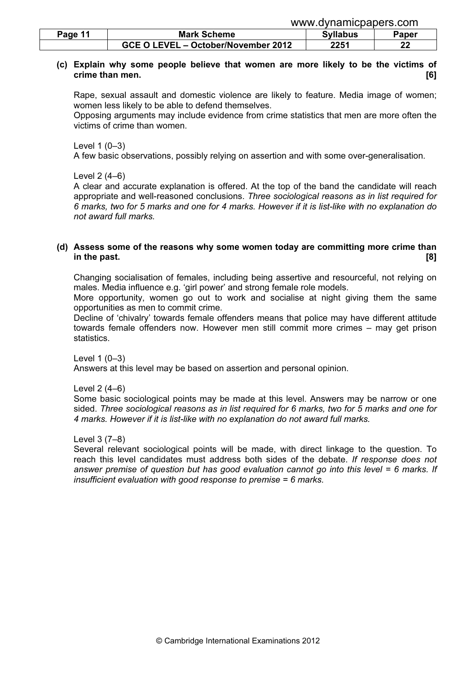| www.dynamicpapers.com |  |
|-----------------------|--|
|                       |  |

| Page 11 | <b>Mark Scheme</b>                  | <b>Syllabus</b> | ⊓oper |
|---------|-------------------------------------|-----------------|-------|
|         | GCE O LEVEL - October/November 2012 | 2251            | ົ     |

# (c) Explain why some people believe that women are more likely to be the victims of crime than men. [6]

 Rape, sexual assault and domestic violence are likely to feature. Media image of women; women less likely to be able to defend themselves.

 Opposing arguments may include evidence from crime statistics that men are more often the victims of crime than women.

Level 1 (0–3)

A few basic observations, possibly relying on assertion and with some over-generalisation.

Level 2 (4–6)

 A clear and accurate explanation is offered. At the top of the band the candidate will reach appropriate and well-reasoned conclusions. Three sociological reasons as in list required for 6 marks, two for 5 marks and one for 4 marks. However if it is list-like with no explanation do not award full marks.

#### (d) Assess some of the reasons why some women today are committing more crime than in the past.  $\qquad \qquad$  [8]

 Changing socialisation of females, including being assertive and resourceful, not relying on males. Media influence e.g. 'girl power' and strong female role models.

 More opportunity, women go out to work and socialise at night giving them the same opportunities as men to commit crime.

 Decline of 'chivalry' towards female offenders means that police may have different attitude towards female offenders now. However men still commit more crimes – may get prison statistics.

Level 1 (0–3)

Answers at this level may be based on assertion and personal opinion.

Level 2 (4–6)

 Some basic sociological points may be made at this level. Answers may be narrow or one sided. Three sociological reasons as in list required for 6 marks, two for 5 marks and one for 4 marks. However if it is list-like with no explanation do not award full marks.

Level 3 (7–8)

 Several relevant sociological points will be made, with direct linkage to the question. To reach this level candidates must address both sides of the debate. If response does not answer premise of question but has good evaluation cannot go into this level = 6 marks. If insufficient evaluation with good response to premise = 6 marks.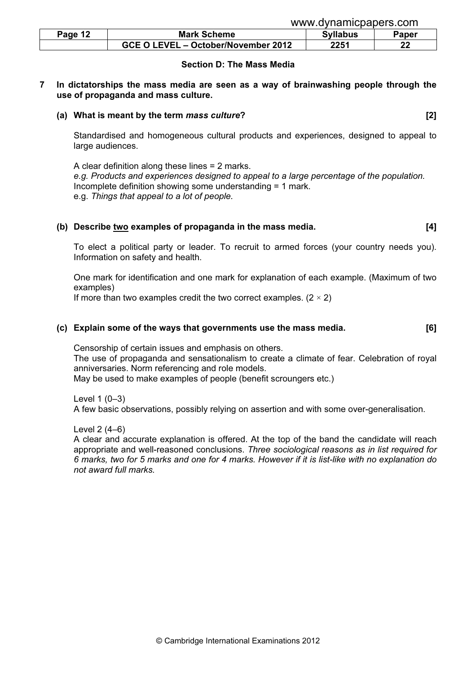| Page 12 | <b>Mark Scheme</b>                  | <b>Syllabus</b> | Paper |
|---------|-------------------------------------|-----------------|-------|
|         | GCE O LEVEL - October/November 2012 | 2251            | nn.   |

#### Section D: The Mass Media

#### 7 In dictatorships the mass media are seen as a way of brainwashing people through the use of propaganda and mass culture.

#### (a) What is meant by the term mass culture? [2]

 Standardised and homogeneous cultural products and experiences, designed to appeal to large audiences.

 A clear definition along these lines = 2 marks. e.g. Products and experiences designed to appeal to a large percentage of the population. Incomplete definition showing some understanding = 1 mark. e.g. Things that appeal to a lot of people.

#### (b) Describe two examples of propaganda in the mass media. [4]

 To elect a political party or leader. To recruit to armed forces (your country needs you). Information on safety and health.

 One mark for identification and one mark for explanation of each example. (Maximum of two examples)

If more than two examples credit the two correct examples.  $(2 \times 2)$ 

#### (c) Explain some of the ways that governments use the mass media. [6]

 Censorship of certain issues and emphasis on others. The use of propaganda and sensationalism to create a climate of fear. Celebration of royal anniversaries. Norm referencing and role models. May be used to make examples of people (benefit scroungers etc.)

Level 1 (0–3)

A few basic observations, possibly relying on assertion and with some over-generalisation.

Level 2 (4–6)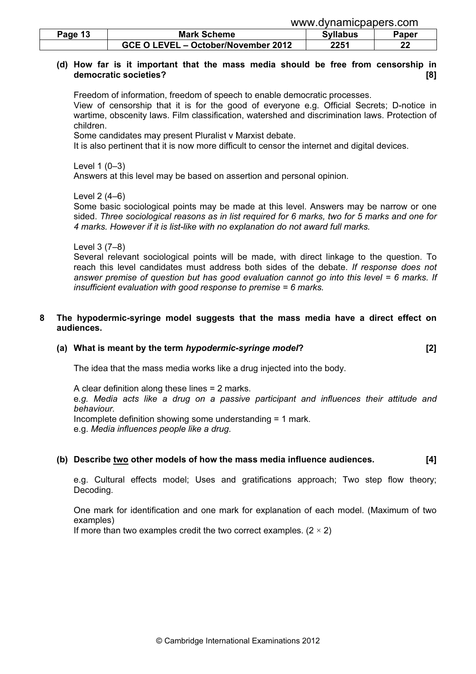|         | www.uyildilliopapois.com            |                 |       |
|---------|-------------------------------------|-----------------|-------|
| Page 13 | <b>Mark Scheme</b>                  | <b>Syllabus</b> | Paper |
|         | GCE O LEVEL - October/November 2012 | 2251            | ົ     |

# (d) How far is it important that the mass media should be free from censorship in democratic societies? [8]

 Freedom of information, freedom of speech to enable democratic processes. View of censorship that it is for the good of everyone e.g. Official Secrets; D-notice in wartime, obscenity laws. Film classification, watershed and discrimination laws. Protection of children.

www.dynamicpapers.com

Some candidates may present Pluralist v Marxist debate.

It is also pertinent that it is now more difficult to censor the internet and digital devices.

# Level 1 (0–3)

Answers at this level may be based on assertion and personal opinion.

### Level 2 (4–6)

 Some basic sociological points may be made at this level. Answers may be narrow or one sided. Three sociological reasons as in list required for 6 marks, two for 5 marks and one for 4 marks. However if it is list-like with no explanation do not award full marks.

### Level 3 (7–8)

 Several relevant sociological points will be made, with direct linkage to the question. To reach this level candidates must address both sides of the debate. If response does not answer premise of question but has good evaluation cannot go into this level  $= 6$  marks. If insufficient evaluation with good response to premise = 6 marks.

# 8 The hypodermic-syringe model suggests that the mass media have a direct effect on audiences.

# (a) What is meant by the term hypodermic-syringe model? [2]

The idea that the mass media works like a drug injected into the body.

 A clear definition along these lines = 2 marks. e.g. Media acts like a drug on a passive participant and influences their attitude and behaviour. Incomplete definition showing some understanding = 1 mark. e.g. Media influences people like a drug.

# (b) Describe two other models of how the mass media influence audiences. [4]

 e.g. Cultural effects model; Uses and gratifications approach; Two step flow theory; Decoding.

 One mark for identification and one mark for explanation of each model. (Maximum of two examples)

If more than two examples credit the two correct examples.  $(2 \times 2)$